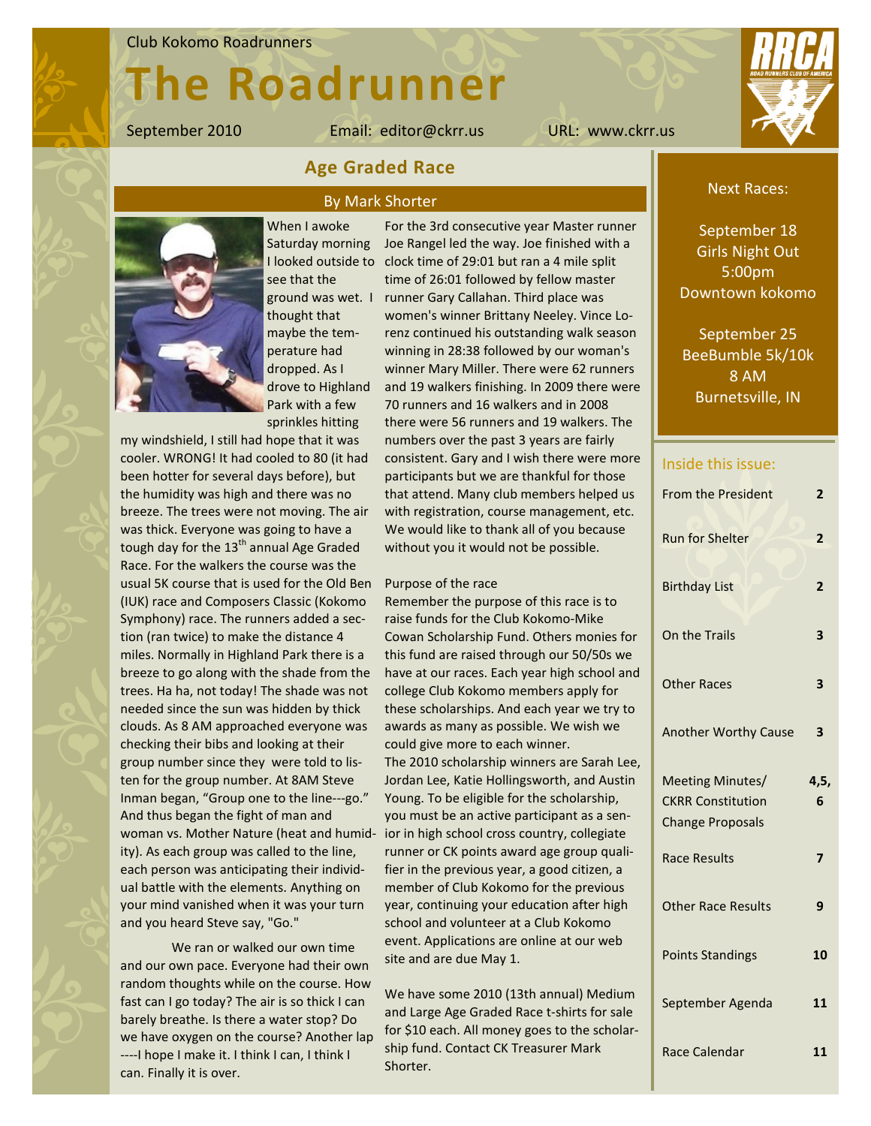# The Roadrunner

When I awoke

September 2010 Email: editor@ckrr.us URL: www.ckrr.us



### Age Graded Race

### By Mark Shorter



Saturday morning see that the ground was wet. I thought that maybe the temperature had dropped. As I drove to Highland Park with a few sprinkles hitting

my windshield, I still had hope that it was cooler. WRONG! It had cooled to 80 (it had been hotter for several days before), but the humidity was high and there was no breeze. The trees were not moving. The air was thick. Everyone was going to have a tough day for the 13<sup>th</sup> annual Age Graded Race. For the walkers the course was the usual 5K course that is used for the Old Ben (IUK) race and Composers Classic (Kokomo Symphony) race. The runners added a section (ran twice) to make the distance 4 miles. Normally in Highland Park there is a breeze to go along with the shade from the trees. Ha ha, not today! The shade was not needed since the sun was hidden by thick clouds. As 8 AM approached everyone was checking their bibs and looking at their group number since they were told to listen for the group number. At 8AM Steve Inman began, "Group one to the line---go." And thus began the fight of man and woman vs. Mother Nature (heat and humidity). As each group was called to the line, each person was anticipating their individual battle with the elements. Anything on your mind vanished when it was your turn and you heard Steve say, "Go."

We ran or walked our own time and our own pace. Everyone had their own random thoughts while on the course. How fast can I go today? The air is so thick I can barely breathe. Is there a water stop? Do we have oxygen on the course? Another lap ----I hope I make it. I think I can, I think I can. Finally it is over.

For the 3rd consecutive year Master runner Joe Rangel led the way. Joe finished with a I looked outside to clock time of 29:01 but ran a 4 mile split time of 26:01 followed by fellow master runner Gary Callahan. Third place was women's winner Brittany Neeley. Vince Lorenz continued his outstanding walk season winning in 28:38 followed by our woman's winner Mary Miller. There were 62 runners and 19 walkers finishing. In 2009 there were 70 runners and 16 walkers and in 2008 there were 56 runners and 19 walkers. The numbers over the past 3 years are fairly consistent. Gary and I wish there were more participants but we are thankful for those that attend. Many club members helped us with registration, course management, etc. We would like to thank all of you because without you it would not be possible.

### Purpose of the race

Remember the purpose of this race is to raise funds for the Club Kokomo-Mike Cowan Scholarship Fund. Others monies for this fund are raised through our 50/50s we have at our races. Each year high school and college Club Kokomo members apply for these scholarships. And each year we try to awards as many as possible. We wish we could give more to each winner. The 2010 scholarship winners are Sarah Lee, Jordan Lee, Katie Hollingsworth, and Austin Young. To be eligible for the scholarship, you must be an active participant as a senior in high school cross country, collegiate runner or CK points award age group qualifier in the previous year, a good citizen, a member of Club Kokomo for the previous year, continuing your education after high school and volunteer at a Club Kokomo event. Applications are online at our web site and are due May 1.

We have some 2010 (13th annual) Medium and Large Age Graded Race t-shirts for sale for \$10 each. All money goes to the scholarship fund. Contact CK Treasurer Mark Shorter.

### Next Races:

September 18 Girls Night Out 5:00pm Downtown kokomo

September 25 BeeBumble 5k/10k 8 AM Burnetsville, IN

### Inside this issue:

| <b>From the President</b>                                               | 2                       |
|-------------------------------------------------------------------------|-------------------------|
| <b>Run for Shelter</b>                                                  | $\overline{\mathbf{c}}$ |
| <b>Birthday List</b>                                                    | $\overline{\mathbf{c}}$ |
| On the Trails                                                           | 3                       |
| <b>Other Races</b>                                                      | 3                       |
| <b>Another Worthy Cause</b>                                             | 3                       |
| Meeting Minutes/<br><b>CKRR Constitution</b><br><b>Change Proposals</b> | 4,5,<br>6               |
| <b>Race Results</b>                                                     | 7                       |
| <b>Other Race Results</b>                                               | 9                       |
| <b>Points Standings</b>                                                 | 10                      |
| September Agenda                                                        | 11                      |
| Race Calendar                                                           | 11                      |
|                                                                         |                         |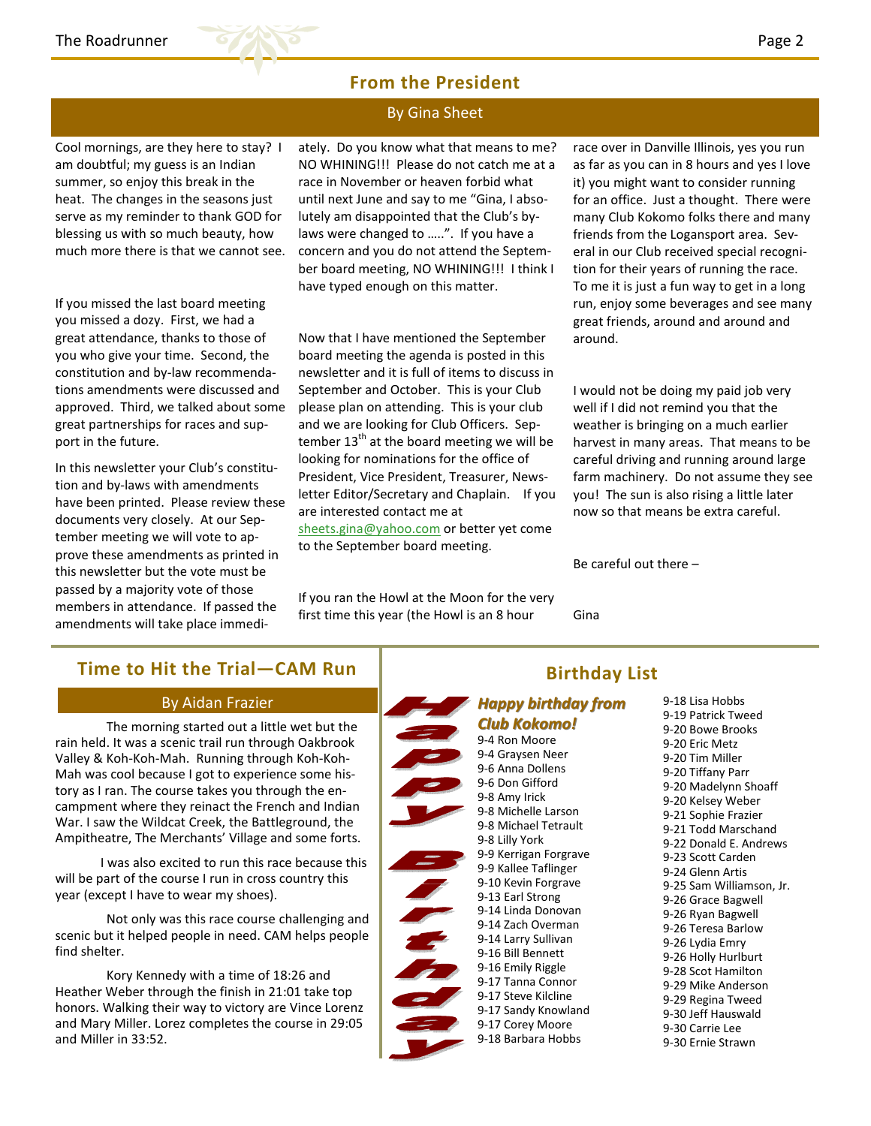

### From the President

### By Gina Sheet

Cool mornings, are they here to stay? I am doubtful; my guess is an Indian summer, so enjoy this break in the heat. The changes in the seasons just serve as my reminder to thank GOD for blessing us with so much beauty, how much more there is that we cannot see.

If you missed the last board meeting you missed a dozy. First, we had a great attendance, thanks to those of you who give your time. Second, the constitution and by-law recommendations amendments were discussed and approved. Third, we talked about some great partnerships for races and support in the future.

In this newsletter your Club's constitution and by-laws with amendments have been printed. Please review these documents very closely. At our September meeting we will vote to approve these amendments as printed in this newsletter but the vote must be passed by a majority vote of those members in attendance. If passed the amendments will take place immediately. Do you know what that means to me? NO WHINING!!! Please do not catch me at a race in November or heaven forbid what until next June and say to me "Gina, I absolutely am disappointed that the Club's bylaws were changed to .....". If you have a concern and you do not attend the September board meeting, NO WHINING!!! I think I have typed enough on this matter.

Now that I have mentioned the September board meeting the agenda is posted in this newsletter and it is full of items to discuss in September and October. This is your Club please plan on attending. This is your club and we are looking for Club Officers. September  $13<sup>th</sup>$  at the board meeting we will be looking for nominations for the office of President, Vice President, Treasurer, Newsletter Editor/Secretary and Chaplain. If you are interested contact me at sheets.gina@yahoo.com or better yet come to the September board meeting.

If you ran the Howl at the Moon for the very first time this year (the Howl is an 8 hour

race over in Danville Illinois, yes you run as far as you can in 8 hours and yes I love it) you might want to consider running for an office. Just a thought. There were many Club Kokomo folks there and many friends from the Logansport area. Several in our Club received special recognition for their years of running the race. To me it is just a fun way to get in a long run, enjoy some beverages and see many great friends, around and around and around.

I would not be doing my paid job very well if I did not remind you that the weather is bringing on a much earlier harvest in many areas. That means to be careful driving and running around large farm machinery. Do not assume they see you! The sun is also rising a little later now so that means be extra careful.

Be careful out there –

Gina

# Time to Hit the Trial—CAM Run

### By Aidan Frazier

 The morning started out a little wet but the rain held. It was a scenic trail run through Oakbrook Valley & Koh-Koh-Mah. Running through Koh-Koh-Mah was cool because I got to experience some history as I ran. The course takes you through the encampment where they reinact the French and Indian War. I saw the Wildcat Creek, the Battleground, the Ampitheatre, The Merchants' Village and some forts.

 I was also excited to run this race because this will be part of the course I run in cross country this year (except I have to wear my shoes).

 Not only was this race course challenging and scenic but it helped people in need. CAM helps people find shelter.

 Kory Kennedy with a time of 18:26 and Heather Weber through the finish in 21:01 take top honors. Walking their way to victory are Vince Lorenz and Mary Miller. Lorez completes the course in 29:05 and Miller in 33:52.



# Birthday List

### Happy birthday from Club Kokomo!

9-4 Ron Moore 9-4 Graysen Neer 9-6 Anna Dollens 9-6 Don Gifford 9-8 Amy Irick 9-8 Michelle Larson 9-8 Michael Tetrault 9-8 Lilly York 9-9 Kerrigan Forgrave 9-9 Kallee Taflinger 9-10 Kevin Forgrave 9-13 Earl Strong 9-14 Linda Donovan 9-14 Zach Overman 9-14 Larry Sullivan 9-16 Bill Bennett 9-16 Emily Riggle 9-17 Tanna Connor 9-17 Steve Kilcline 9-17 Sandy Knowland 9-17 Corey Moore 9-18 Barbara Hobbs

9-18 Lisa Hobbs 9-19 Patrick Tweed 9-20 Bowe Brooks 9-20 Eric Metz 9-20 Tim Miller 9-20 Tiffany Parr 9-20 Madelynn Shoaff 9-20 Kelsey Weber 9-21 Sophie Frazier 9-21 Todd Marschand 9-22 Donald E. Andrews 9-23 Scott Carden 9-24 Glenn Artis 9-25 Sam Williamson, Jr. 9-26 Grace Bagwell 9-26 Ryan Bagwell 9-26 Teresa Barlow 9-26 Lydia Emry 9-26 Holly Hurlburt 9-28 Scot Hamilton 9-29 Mike Anderson 9-29 Regina Tweed 9-30 Jeff Hauswald 9-30 Carrie Lee

9-30 Ernie Strawn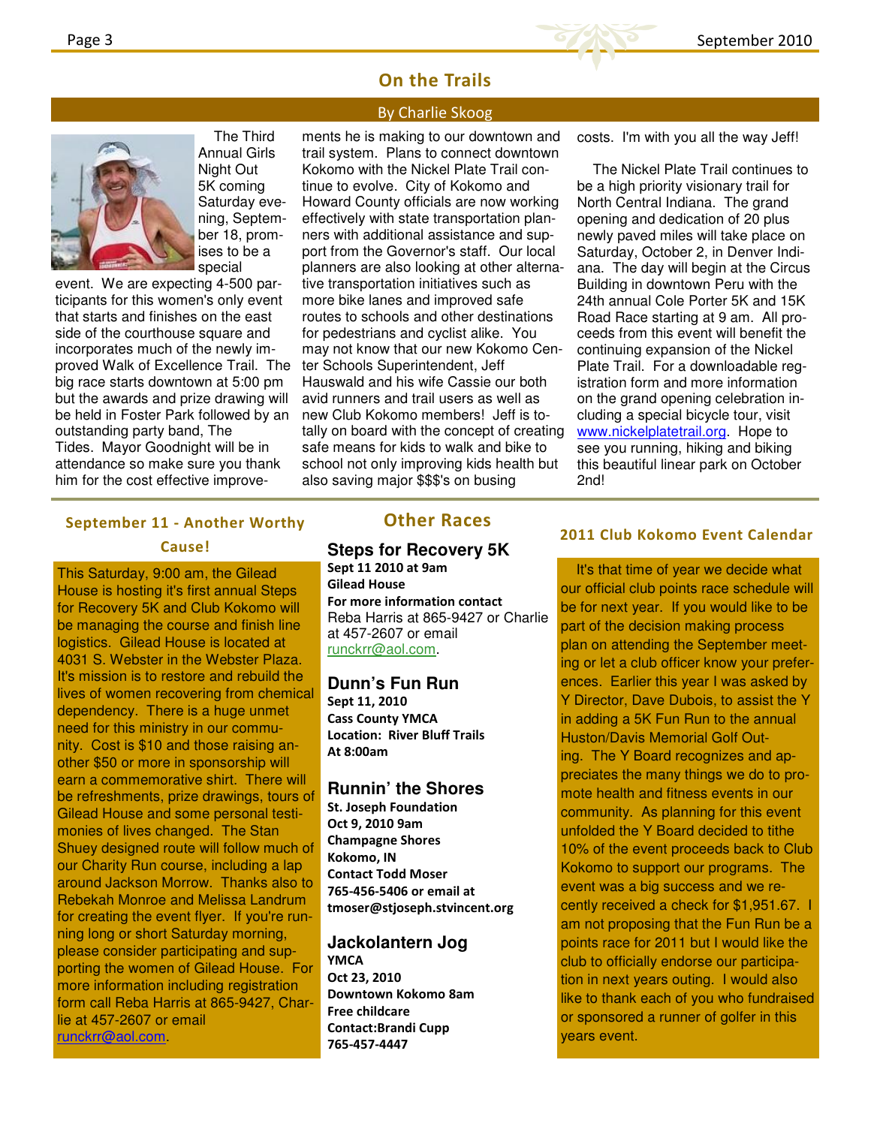

### On the Trails

### By Charlie Skoog



 The Third Annual Girls Night Out 5K coming Saturday evening, September 18, promises to be a special

event. We are expecting 4-500 participants for this women's only event that starts and finishes on the east side of the courthouse square and incorporates much of the newly improved Walk of Excellence Trail. The big race starts downtown at 5:00 pm but the awards and prize drawing will be held in Foster Park followed by an outstanding party band, The Tides. Mayor Goodnight will be in attendance so make sure you thank him for the cost effective improve-

ments he is making to our downtown and trail system. Plans to connect downtown Kokomo with the Nickel Plate Trail continue to evolve. City of Kokomo and Howard County officials are now working effectively with state transportation planners with additional assistance and support from the Governor's staff. Our local planners are also looking at other alternative transportation initiatives such as more bike lanes and improved safe routes to schools and other destinations for pedestrians and cyclist alike. You may not know that our new Kokomo Center Schools Superintendent, Jeff Hauswald and his wife Cassie our both avid runners and trail users as well as new Club Kokomo members! Jeff is totally on board with the concept of creating safe means for kids to walk and bike to school not only improving kids health but also saving major \$\$\$'s on busing

costs. I'm with you all the way Jeff!

 The Nickel Plate Trail continues to be a high priority visionary trail for North Central Indiana. The grand opening and dedication of 20 plus newly paved miles will take place on Saturday, October 2, in Denver Indiana. The day will begin at the Circus Building in downtown Peru with the 24th annual Cole Porter 5K and 15K Road Race starting at 9 am. All proceeds from this event will benefit the continuing expansion of the Nickel Plate Trail. For a downloadable registration form and more information on the grand opening celebration including a special bicycle tour, visit www.nickelplatetrail.org. Hope to see you running, hiking and biking this beautiful linear park on October 2nd!

### September 11 - Another Worthy Cause!

This Saturday, 9:00 am, the Gilead House is hosting it's first annual Steps for Recovery 5K and Club Kokomo will be managing the course and finish line logistics. Gilead House is located at 4031 S. Webster in the Webster Plaza. It's mission is to restore and rebuild the lives of women recovering from chemical dependency. There is a huge unmet need for this ministry in our community. Cost is \$10 and those raising another \$50 or more in sponsorship will earn a commemorative shirt. There will be refreshments, prize drawings, tours of Gilead House and some personal testimonies of lives changed. The Stan Shuey designed route will follow much of our Charity Run course, including a lap around Jackson Morrow. Thanks also to Rebekah Monroe and Melissa Landrum for creating the event flyer. If you're running long or short Saturday morning, please consider participating and supporting the women of Gilead House. For more information including registration form call Reba Harris at 865-9427, Charlie at 457-2607 or email runckrr@aol.com.

### Other Races

### **Steps for Recovery 5K** Sept 11 2010 at 9am Gilead House

For more information contact Reba Harris at 865-9427 or Charlie at 457-2607 or email runckrr@aol.com.

### **Dunn's Fun Run**

Sept 11, 2010 Cass County YMCA Location: River Bluff Trails At 8:00am

### **Runnin' the Shores**

St. Joseph Foundation Oct 9, 2010 9am Champagne Shores Kokomo, IN Contact Todd Moser 765-456-5406 or email at tmoser@stjoseph.stvincent.org

#### **Jackolantern Jog YMCA**

Oct 23, 2010 Downtown Kokomo 8am Free childcare Contact:Brandi Cupp 765-457-4447

### 2011 Club Kokomo Event Calendar

 It's that time of year we decide what our official club points race schedule will be for next year. If you would like to be part of the decision making process plan on attending the September meeting or let a club officer know your preferences. Earlier this year I was asked by Y Director, Dave Dubois, to assist the Y in adding a 5K Fun Run to the annual Huston/Davis Memorial Golf Outing. The Y Board recognizes and appreciates the many things we do to promote health and fitness events in our community. As planning for this event unfolded the Y Board decided to tithe 10% of the event proceeds back to Club Kokomo to support our programs. The event was a big success and we recently received a check for \$1,951.67. I am not proposing that the Fun Run be a points race for 2011 but I would like the club to officially endorse our participation in next years outing. I would also like to thank each of you who fundraised or sponsored a runner of golfer in this years event.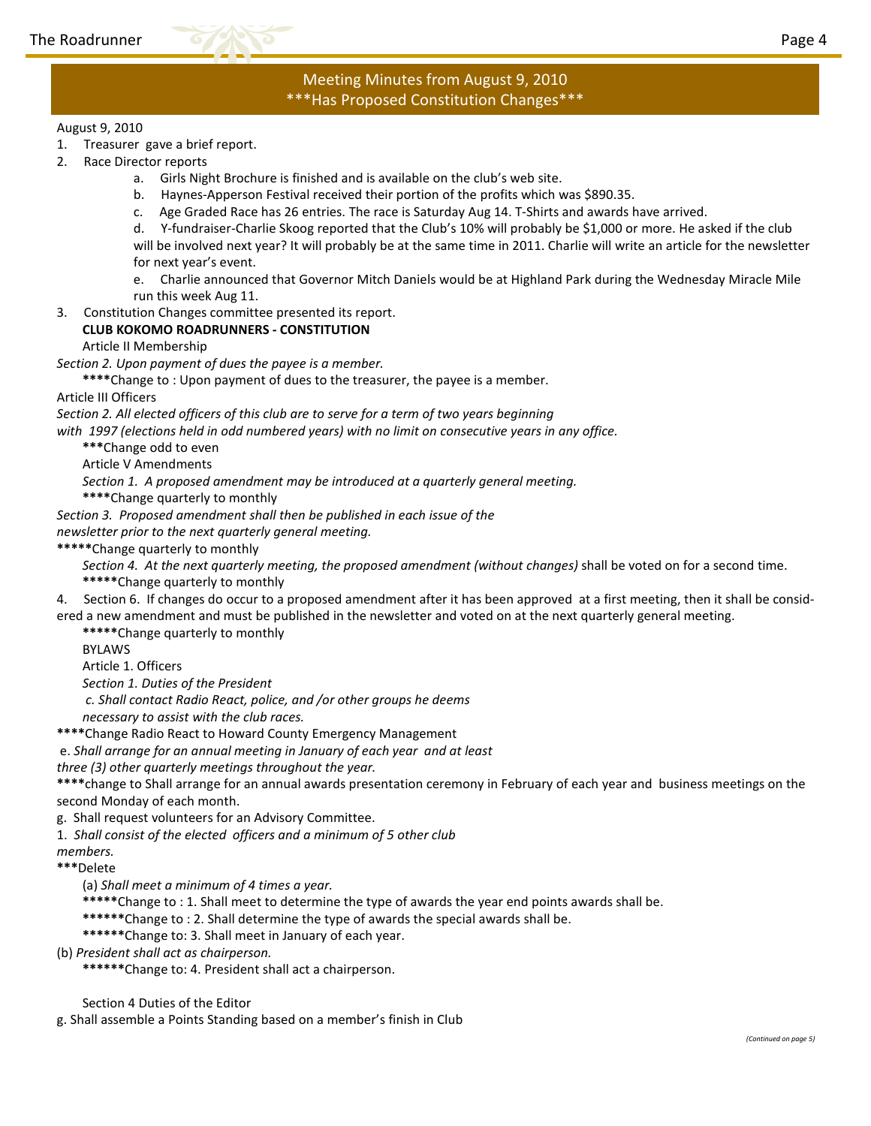

### Meeting Minutes from August 9, 2010 \*\*\*Has Proposed Constitution Changes\*\*\*

### August 9, 2010

- 1. Treasurer gave a brief report.
- 2. Race Director reports
	- a. Girls Night Brochure is finished and is available on the club's web site.
	- b. Haynes-Apperson Festival received their portion of the profits which was \$890.35.
	- c. Age Graded Race has 26 entries. The race is Saturday Aug 14. T-Shirts and awards have arrived.

d. Y-fundraiser-Charlie Skoog reported that the Club's 10% will probably be \$1,000 or more. He asked if the club will be involved next year? It will probably be at the same time in 2011. Charlie will write an article for the newsletter for next year's event.

e. Charlie announced that Governor Mitch Daniels would be at Highland Park during the Wednesday Miracle Mile run this week Aug 11.

3. Constitution Changes committee presented its report.

### CLUB KOKOMO ROADRUNNERS - CONSTITUTION

### Article II Membership

Section 2. Upon payment of dues the payee is a member.

\*\*\*\*Change to : Upon payment of dues to the treasurer, the payee is a member.

Article III Officers

Section 2. All elected officers of this club are to serve for a term of two years beginning

with 1997 (elections held in odd numbered years) with no limit on consecutive years in any office.

\*\*\*Change odd to even

Article V Amendments

Section 1. A proposed amendment may be introduced at a quarterly general meeting.

\*\*\*\*Change quarterly to monthly

Section 3. Proposed amendment shall then be published in each issue of the

newsletter prior to the next quarterly general meeting.

\*\*\*\*\*Change quarterly to monthly

Section 4. At the next quarterly meeting, the proposed amendment (without changes) shall be voted on for a second time. \*\*\*\*\*Change quarterly to monthly

4. Section 6. If changes do occur to a proposed amendment after it has been approved at a first meeting, then it shall be considered a new amendment and must be published in the newsletter and voted on at the next quarterly general meeting.

\*\*\*\*\*Change quarterly to monthly

BYLAWS

Article 1. Officers

Section 1. Duties of the President

c. Shall contact Radio React, police, and /or other groups he deems

necessary to assist with the club races.

\*\*\*\*Change Radio React to Howard County Emergency Management

e. Shall arrange for an annual meeting in January of each year and at least

three (3) other quarterly meetings throughout the year.

\*\*\*\*change to Shall arrange for an annual awards presentation ceremony in February of each year and business meetings on the second Monday of each month.

g. Shall request volunteers for an Advisory Committee.

1. Shall consist of the elected officers and a minimum of 5 other club

members.

\*\*\*Delete

(a) Shall meet a minimum of 4 times a year.

\*\*\*\*\*Change to : 1. Shall meet to determine the type of awards the year end points awards shall be.

\*\*\*\*\*\*Change to : 2. Shall determine the type of awards the special awards shall be.

\*\*\*\*\*\*Change to: 3. Shall meet in January of each year.

(b) President shall act as chairperson.

\*\*\*\*\*\*Change to: 4. President shall act a chairperson.

Section 4 Duties of the Editor

g. Shall assemble a Points Standing based on a member's finish in Club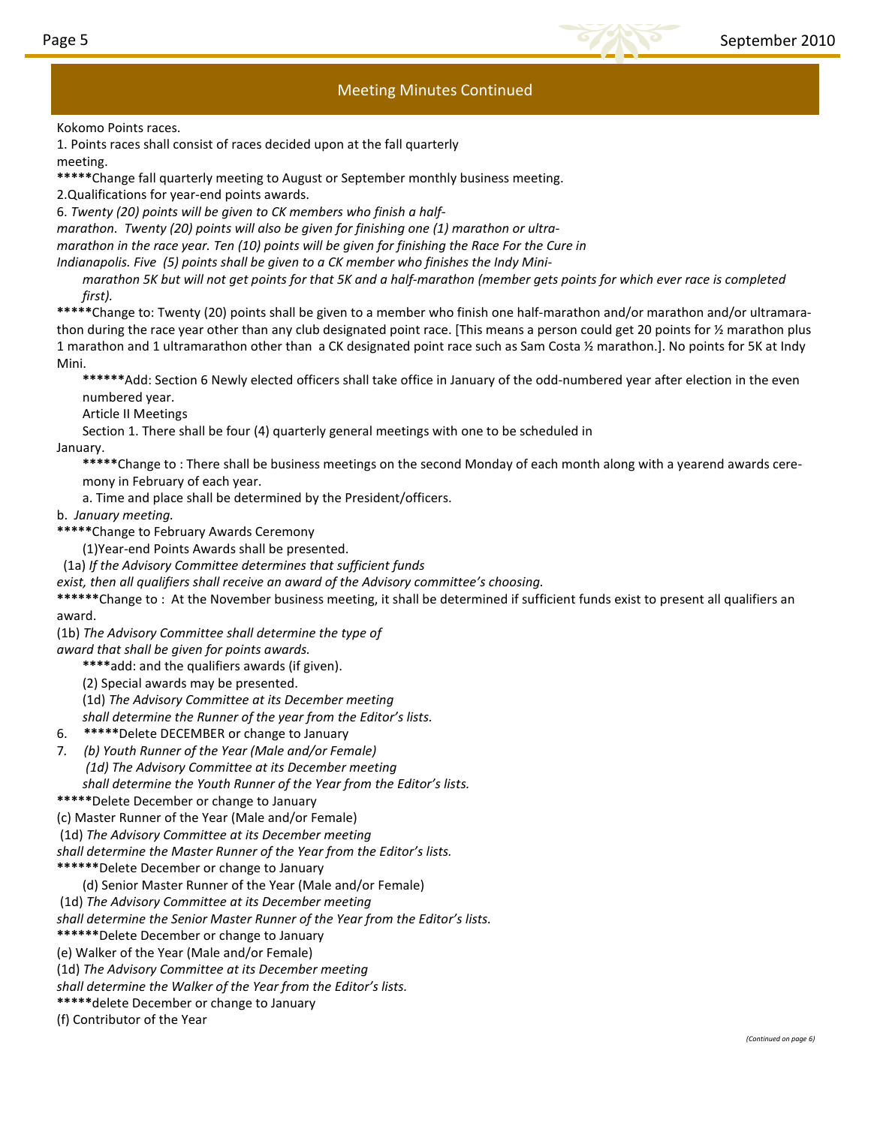

### Meeting Minutes Continued

Kokomo Points races.

1. Points races shall consist of races decided upon at the fall quarterly meeting.

\*\*\*\*\*Change fall quarterly meeting to August or September monthly business meeting.

2.Qualifications for year-end points awards.

6. Twenty (20) points will be given to CK members who finish a half-

marathon. Twenty (20) points will also be given for finishing one (1) marathon or ultra-

marathon in the race year. Ten (10) points will be given for finishing the Race For the Cure in

Indianapolis. Five (5) points shall be given to a CK member who finishes the Indy Mini-

marathon 5K but will not get points for that 5K and a half-marathon (member gets points for which ever race is completed first).

\*\*\*\*\*Change to: Twenty (20) points shall be given to a member who finish one half-marathon and/or marathon and/or ultramarathon during the race year other than any club designated point race. [This means a person could get 20 points for ½ marathon plus 1 marathon and 1 ultramarathon other than a CK designated point race such as Sam Costa ½ marathon.]. No points for 5K at Indy Mini.

\*\*\*\*\*\*Add: Section 6 Newly elected officers shall take office in January of the odd-numbered year after election in the even numbered year.

Article II Meetings

Section 1. There shall be four (4) quarterly general meetings with one to be scheduled in

January.

\*\*\*\*\*Change to: There shall be business meetings on the second Monday of each month along with a yearend awards ceremony in February of each year.

a. Time and place shall be determined by the President/officers.

b. January meeting.

\*\*\*\*\*Change to February Awards Ceremony

(1)Year-end Points Awards shall be presented.

(1a) If the Advisory Committee determines that sufficient funds

exist, then all qualifiers shall receive an award of the Advisory committee's choosing.

\*\*\*\*\*Change to: At the November business meeting, it shall be determined if sufficient funds exist to present all qualifiers an award.

(1b) The Advisory Committee shall determine the type of

award that shall be given for points awards.

\*\*\*\*add: and the qualifiers awards (if given).

(2) Special awards may be presented.

(1d) The Advisory Committee at its December meeting

shall determine the Runner of the year from the Editor's lists.

6. \*\*\*\*\*Delete DECEMBER or change to January

7. (b) Youth Runner of the Year (Male and/or Female) (1d) The Advisory Committee at its December meeting shall determine the Youth Runner of the Year from the Editor's lists.

\*\*\*\*\*Delete December or change to January

(c) Master Runner of the Year (Male and/or Female)

(1d) The Advisory Committee at its December meeting

shall determine the Master Runner of the Year from the Editor's lists.

\*\*\*\*\*\*Delete December or change to January

(d) Senior Master Runner of the Year (Male and/or Female)

(1d) The Advisory Committee at its December meeting

shall determine the Senior Master Runner of the Year from the Editor's lists.

\*\*\*\*\*\*Delete December or change to January

(e) Walker of the Year (Male and/or Female)

(1d) The Advisory Committee at its December meeting

shall determine the Walker of the Year from the Editor's lists.

\*\*\*\*\*delete December or change to January

(f) Contributor of the Year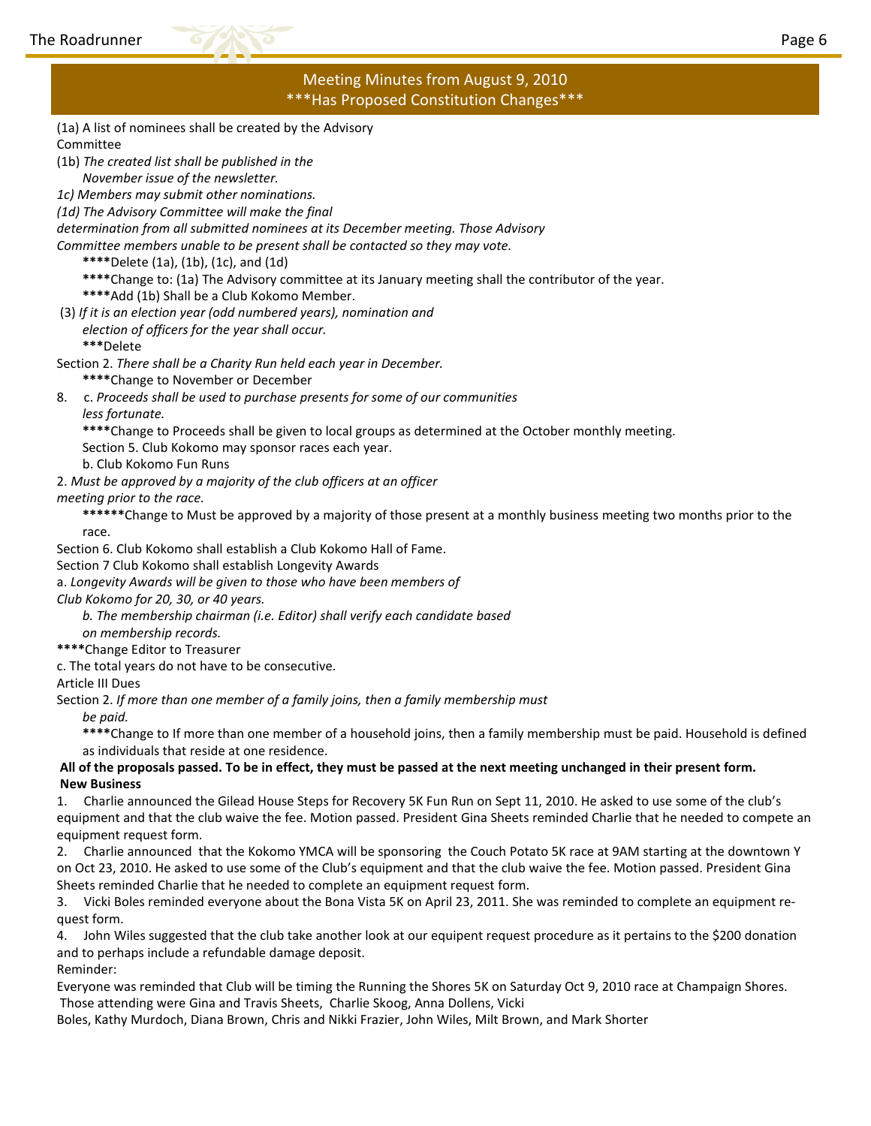

### Meeting Minutes from August 9, 2010 \*\*\*Has Proposed Constitution Changes\*\*\*

- (1a) A list of nominees shall be created by the Advisory Committee
- (1b) The created list shall be published in the November issue of the newsletter.
- 1c) Members may submit other nominations.
- (1d) The Advisory Committee will make the final
- determination from all submitted nominees at its December meeting. Those Advisory
- Committee members unable to be present shall be contacted so they may vote.
	- \*\*\*\*Delete (1a), (1b), (1c), and (1d)
	- \*\*\*\*Change to: (1a) The Advisory committee at its January meeting shall the contributor of the year.
	- \*\*\*\*Add (1b) Shall be a Club Kokomo Member.
- (3) If it is an election year (odd numbered years), nomination and
	- election of officers for the year shall occur. \*\*\*Delete
- Section 2. There shall be a Charity Run held each year in December.
	- \*\*\*\*Change to November or December
- 8. c. Proceeds shall be used to purchase presents for some of our communities less fortunate.
	- \*\*\*\*Change to Proceeds shall be given to local groups as determined at the October monthly meeting.
	- Section 5. Club Kokomo may sponsor races each year.
	- b. Club Kokomo Fun Runs
- 2. Must be approved by a majority of the club officers at an officer

### meeting prior to the race.

- \*\*\*\*\*\*Change to Must be approved by a majority of those present at a monthly business meeting two months prior to the race.
- Section 6. Club Kokomo shall establish a Club Kokomo Hall of Fame.
- Section 7 Club Kokomo shall establish Longevity Awards
- a. Longevity Awards will be given to those who have been members of
- Club Kokomo for 20, 30, or 40 years.
	- b. The membership chairman (i.e. Editor) shall verify each candidate based on membership records.
- \*\*\*\*Change Editor to Treasurer
- c. The total years do not have to be consecutive.
- Article III Dues
- Section 2. If more than one member of a family joins, then a family membership must
	- be paid.
	- \*\*\*\*Change to If more than one member of a household joins, then a family membership must be paid. Household is defined as individuals that reside at one residence.

### All of the proposals passed. To be in effect, they must be passed at the next meeting unchanged in their present form. New Business

1. Charlie announced the Gilead House Steps for Recovery 5K Fun Run on Sept 11, 2010. He asked to use some of the club's equipment and that the club waive the fee. Motion passed. President Gina Sheets reminded Charlie that he needed to compete an equipment request form.

2. Charlie announced that the Kokomo YMCA will be sponsoring the Couch Potato 5K race at 9AM starting at the downtown Y on Oct 23, 2010. He asked to use some of the Club's equipment and that the club waive the fee. Motion passed. President Gina Sheets reminded Charlie that he needed to complete an equipment request form.

3. Vicki Boles reminded everyone about the Bona Vista 5K on April 23, 2011. She was reminded to complete an equipment request form.

4. John Wiles suggested that the club take another look at our equipent request procedure as it pertains to the \$200 donation and to perhaps include a refundable damage deposit. Reminder:

Everyone was reminded that Club will be timing the Running the Shores 5K on Saturday Oct 9, 2010 race at Champaign Shores. Those attending were Gina and Travis Sheets, Charlie Skoog, Anna Dollens, Vicki

Boles, Kathy Murdoch, Diana Brown, Chris and Nikki Frazier, John Wiles, Milt Brown, and Mark Shorter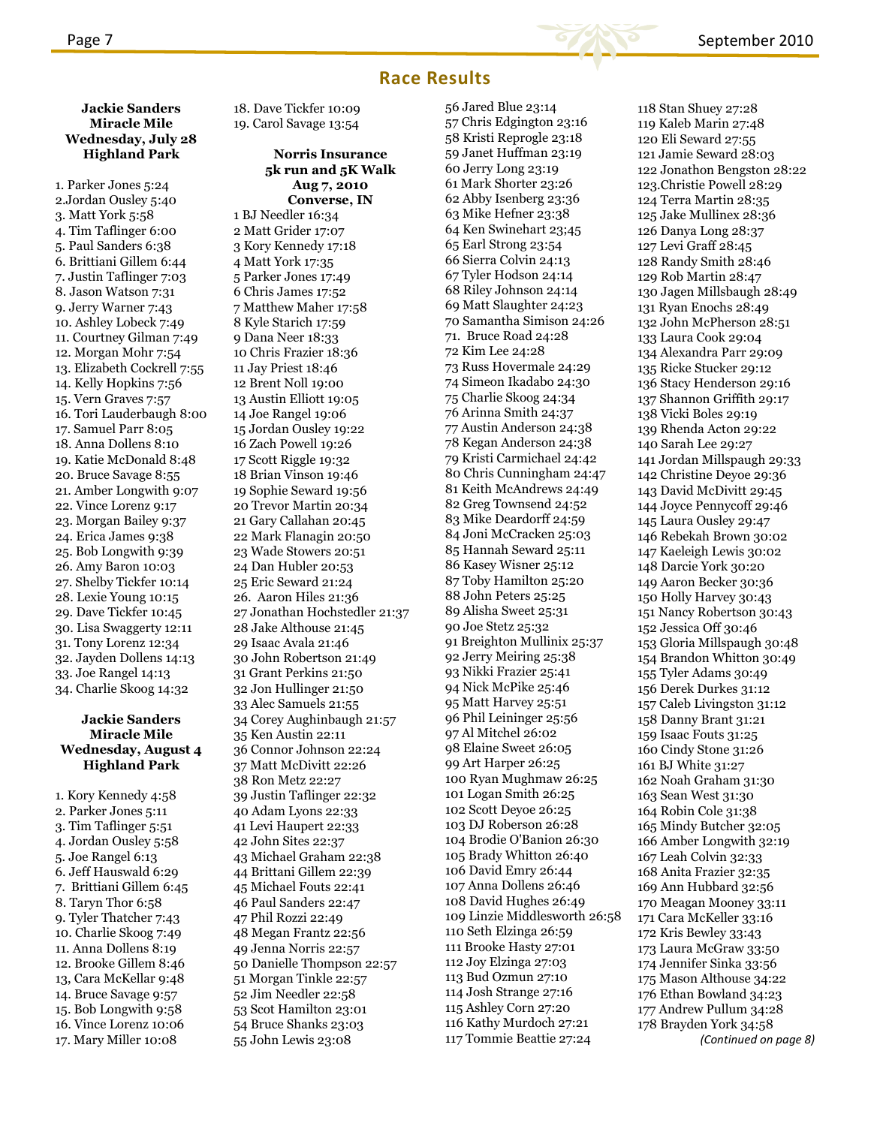

### Race Results

56 Jared Blue 23:14

### Jackie Sanders Miracle Mile Wednesday, July 28 Highland Park

1. Parker Jones 5:24 2.Jordan Ousley 5:40 3. Matt York 5:58 4. Tim Taflinger 6:00 5. Paul Sanders 6:38 6. Brittiani Gillem 6:44 7. Justin Taflinger 7:03 8. Jason Watson 7:31 9. Jerry Warner 7:43 10. Ashley Lobeck 7:49 11. Courtney Gilman 7:49 12. Morgan Mohr 7:54 13. Elizabeth Cockrell 7:55 14. Kelly Hopkins 7:56 15. Vern Graves 7:57 16. Tori Lauderbaugh 8:00 17. Samuel Parr 8:05 18. Anna Dollens 8:10 19. Katie McDonald 8:48 20. Bruce Savage 8:55 21. Amber Longwith 9:07 22. Vince Lorenz 9:17 23. Morgan Bailey 9:37 24. Erica James 9:38 25. Bob Longwith 9:39 26. Amy Baron 10:03 27. Shelby Tickfer 10:14 28. Lexie Young 10:15 29. Dave Tickfer 10:45 30. Lisa Swaggerty 12:11 31. Tony Lorenz 12:34 32. Jayden Dollens 14:13 33. Joe Rangel 14:13 34. Charlie Skoog 14:32

#### Jackie Sanders Miracle Mile Wednesday, August 4 Highland Park

1. Kory Kennedy 4:58 2. Parker Jones 5:11 3. Tim Taflinger 5:51 4. Jordan Ousley 5:58 5. Joe Rangel 6:13 6. Jeff Hauswald 6:29 7. Brittiani Gillem 6:45 8. Taryn Thor 6:58 9. Tyler Thatcher 7:43 10. Charlie Skoog 7:49 11. Anna Dollens 8:19 12. Brooke Gillem 8:46 13, Cara McKellar 9:48 14. Bruce Savage 9:57 15. Bob Longwith 9:58 16. Vince Lorenz 10:06 17. Mary Miller 10:08

18. Dave Tickfer 10:09 19. Carol Savage 13:54

### Norris Insurance 5k run and 5K Walk Aug 7, 2010 Converse, IN 1 BJ Needler 16:34 2 Matt Grider 17:07 3 Kory Kennedy 17:18 4 Matt York 17:35 5 Parker Jones 17:49 6 Chris James 17:52 7 Matthew Maher 17:58 8 Kyle Starich 17:59 9 Dana Neer 18:33 10 Chris Frazier 18:36 11 Jay Priest 18:46 12 Brent Noll 19:00 13 Austin Elliott 19:05 14 Joe Rangel 19:06 15 Jordan Ousley 19:22 16 Zach Powell 19:26 17 Scott Riggle 19:32 18 Brian Vinson 19:46 19 Sophie Seward 19:56 20 Trevor Martin 20:34 21 Gary Callahan 20:45 22 Mark Flanagin 20:50 23 Wade Stowers 20:51 24 Dan Hubler 20:53 25 Eric Seward 21:24 26. Aaron Hiles 21:36 27 Jonathan Hochstedler 21:37 28 Jake Althouse 21:45 29 Isaac Avala 21:46 30 John Robertson 21:49 31 Grant Perkins 21:50 32 Jon Hullinger 21:50 33 Alec Samuels 21:55 34 Corey Aughinbaugh 21:57 35 Ken Austin 22:11 36 Connor Johnson 22:24 37 Matt McDivitt 22:26 38 Ron Metz 22:27 39 Justin Taflinger 22:32 40 Adam Lyons 22:33 41 Levi Haupert 22:33 42 John Sites 22:37 43 Michael Graham 22:38 44 Brittani Gillem 22:39 45 Michael Fouts 22:41 46 Paul Sanders 22:47 47 Phil Rozzi 22:49 48 Megan Frantz 22:56 49 Jenna Norris 22:57 50 Danielle Thompson 22:57 51 Morgan Tinkle 22:57 52 Jim Needler 22:58 53 Scot Hamilton 23:01 54 Bruce Shanks 23:03 55 John Lewis 23:08

57 Chris Edgington 23:16 58 Kristi Reprogle 23:18 59 Janet Huffman 23:19 60 Jerry Long 23:19 61 Mark Shorter 23:26 62 Abby Isenberg 23:36 63 Mike Hefner 23:38 64 Ken Swinehart 23;45 65 Earl Strong 23:54 66 Sierra Colvin 24:13 67 Tyler Hodson 24:14 68 Riley Johnson 24:14 69 Matt Slaughter 24:23 70 Samantha Simison 24:26 71. Bruce Road 24:28 72 Kim Lee 24:28 73 Russ Hovermale 24:29 74 Simeon Ikadabo 24:30 75 Charlie Skoog 24:34 76 Arinna Smith 24:37 77 Austin Anderson 24:38 78 Kegan Anderson 24:38 79 Kristi Carmichael 24:42 80 Chris Cunningham 24:47 81 Keith McAndrews 24:49 82 Greg Townsend 24:52 83 Mike Deardorff 24:59 84 Joni McCracken 25:03 85 Hannah Seward 25:11 86 Kasey Wisner 25:12 87 Toby Hamilton 25:20 88 John Peters 25:25 89 Alisha Sweet 25:31 90 Joe Stetz 25:32 91 Breighton Mullinix 25:37 92 Jerry Meiring 25:38 93 Nikki Frazier 25:41 94 Nick McPike 25:46 95 Matt Harvey 25:51 96 Phil Leininger 25:56 97 Al Mitchel 26:02 98 Elaine Sweet 26:05 99 Art Harper 26:25 100 Ryan Mughmaw 26:25 101 Logan Smith 26:25 102 Scott Deyoe 26:25 103 DJ Roberson 26:28 104 Brodie O'Banion 26:30 105 Brady Whitton 26:40 106 David Emry 26:44 107 Anna Dollens 26:46 108 David Hughes 26:49 109 Linzie Middlesworth 26:58 110 Seth Elzinga 26:59 111 Brooke Hasty 27:01 112 Joy Elzinga 27:03 113 Bud Ozmun 27:10 114 Josh Strange 27:16 115 Ashley Corn 27:20 116 Kathy Murdoch 27:21 117 Tommie Beattie 27:24

118 Stan Shuey 27:28 119 Kaleb Marin 27:48 120 Eli Seward 27:55 121 Jamie Seward 28:03 122 Jonathon Bengston 28:22 123.Christie Powell 28:29 124 Terra Martin 28:35 125 Jake Mullinex 28:36 126 Danya Long 28:37 127 Levi Graff 28:45 128 Randy Smith 28:46 129 Rob Martin 28:47 130 Jagen Millsbaugh 28:49 131 Ryan Enochs 28:49 132 John McPherson 28:51 133 Laura Cook 29:04 134 Alexandra Parr 29:09 135 Ricke Stucker 29:12 136 Stacy Henderson 29:16 137 Shannon Griffith 29:17 138 Vicki Boles 29:19 139 Rhenda Acton 29:22 140 Sarah Lee 29:27 141 Jordan Millspaugh 29:33 142 Christine Deyoe 29:36 143 David McDivitt 29:45 144 Joyce Pennycoff 29:46 145 Laura Ousley 29:47 146 Rebekah Brown 30:02 147 Kaeleigh Lewis 30:02 148 Darcie York 30:20 149 Aaron Becker 30:36 150 Holly Harvey 30:43 151 Nancy Robertson 30:43 152 Jessica Off 30:46 153 Gloria Millspaugh 30:48 154 Brandon Whitton 30:49 155 Tyler Adams 30:49 156 Derek Durkes 31:12 157 Caleb Livingston 31:12 158 Danny Brant 31:21 159 Isaac Fouts 31:25 160 Cindy Stone 31:26 161 BJ White 31:27 162 Noah Graham 31:30 163 Sean West 31:30 164 Robin Cole 31:38 165 Mindy Butcher 32:05 166 Amber Longwith 32:19 167 Leah Colvin 32:33 168 Anita Frazier 32:35 169 Ann Hubbard 32:56 170 Meagan Mooney 33:11 171 Cara McKeller 33:16 172 Kris Bewley 33:43 173 Laura McGraw 33:50 174 Jennifer Sinka 33:56 175 Mason Althouse 34:22 176 Ethan Bowland 34:23 177 Andrew Pullum 34:28 178 Brayden York 34:58 (Continued on page 8)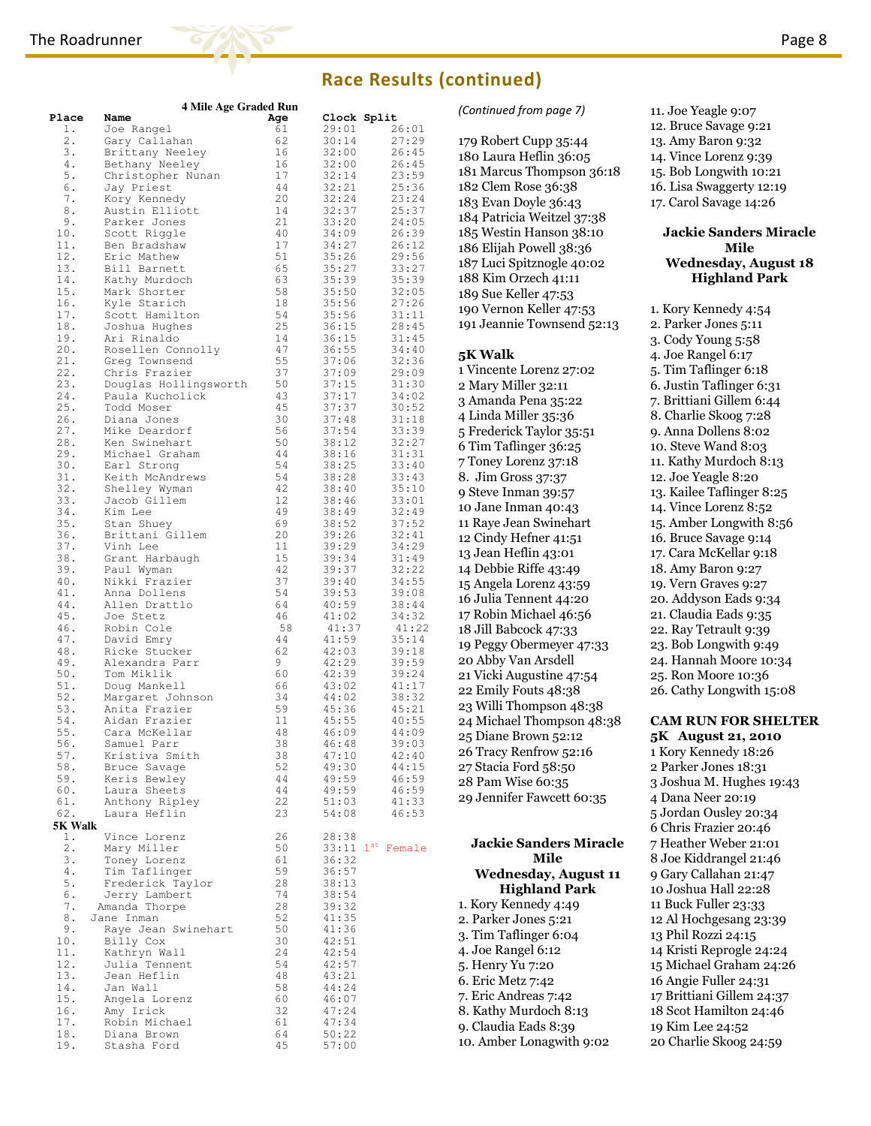### The Roadrunner **Page 8** and the Roadrunner Page 8



### Race Results (continued)

|         | 4 Mile Age Graded Run |     |       |                         |                             |  |
|---------|-----------------------|-----|-------|-------------------------|-----------------------------|--|
| Place   | Name                  | Age |       | Clock Split             | (Continued from page 7)     |  |
| 1.      | Joe Rangel            | 61  | 29:01 | 26:01                   |                             |  |
| 2.      | Gary Callahan         | 62  | 30:14 | 27:29                   | 179 Robert Cupp 35:44       |  |
|         |                       | 16  |       | 26:45                   |                             |  |
| 3.      | Brittany Neeley       |     | 32:00 |                         | 180 Laura Heflin 36:05      |  |
| 4.      | Bethany Neeley        | 16  | 32:00 | 26:45                   | 181 Marcus Thompson 36:     |  |
| 5.      | Christopher Nunan     | 17  | 32:14 | 23:59                   |                             |  |
| 6.      | Jay Priest            | 44  | 32:21 | 25:36                   | 182 Clem Rose 36:38         |  |
| 7.      | Kory Kennedy          | 20  | 32:24 | 23:24                   | 183 Evan Doyle 36:43        |  |
| 8.      | Austin Elliott        | 14  | 32:37 | 25:37                   |                             |  |
| 9.      | Parker Jones          | 21  | 33:20 | 24:05                   | 184 Patricia Weitzel 37:38  |  |
| 10.     |                       | 40  |       |                         | 185 Westin Hanson 38:10     |  |
|         | Scott Riggle          |     | 34:09 | 26:39                   |                             |  |
| 11.     | Ben Bradshaw          | 17  | 34:27 | 26:12                   | 186 Elijah Powell 38:36     |  |
| 12.     | Eric Mathew           | 51  | 35:26 | 29:56                   | 187 Luci Spitznogle 40:02   |  |
| 13.     | Bill Barnett          | 65  | 35:27 | 33:27                   |                             |  |
| 14.     | Kathy Murdoch         | 63  | 35:39 | 35:39                   | 188 Kim Orzech 41:11        |  |
| 15.     | Mark Shorter          | 58  | 35:50 | 32:05                   | 189 Sue Keller 47:53        |  |
| 16.     | Kyle Starich          | 18  | 35:56 | 27:26                   |                             |  |
| 17.     | Scott Hamilton        | 54  | 35:56 | 31:11                   | 190 Vernon Keller 47:53     |  |
|         |                       |     |       |                         | 191 Jeannie Townsend 52:1   |  |
| 18.     | Joshua Hughes         | 25  | 36:15 | 28:45                   |                             |  |
| 19.     | Ari Rinaldo           | 14  | 36:15 | 31:45                   |                             |  |
| 20.     | Rosellen Connolly     | 47  | 36:55 | 34:40                   | <b>5K Walk</b>              |  |
| 21.     | Greg Townsend         | 55  | 37:06 | 32:36                   |                             |  |
| 22.     | Chris Frazier         | 37  | 37:09 | 29:09                   | 1 Vincente Lorenz 27:02     |  |
| 23.     | Douglas Hollingsworth | 50  | 37:15 | 31:30                   |                             |  |
|         |                       |     |       |                         | 2 Mary Miller 32:11         |  |
| 24.     | Paula Kucholick       | 43  | 37:17 | 34:02                   | 3 Amanda Pena 35:22         |  |
| 25.     | Todd Moser            | 45  | 37:37 | 30:52                   |                             |  |
| 26.     | Diana Jones           | 30  | 37:48 | 31:18                   | 4 Linda Miller 35:36        |  |
| 27.     | Mike Deardorf         | 56  | 37:54 | 33:39                   | 5 Frederick Taylor 35:51    |  |
| 28.     | Ken Swinehart         | 50  | 38:12 | 32:27                   |                             |  |
| 29.     | Michael Graham        | 44  | 38:16 | 31:31                   | 6 Tim Taflinger 36:25       |  |
|         |                       |     |       |                         | 7 Toney Lorenz 37:18        |  |
| 30.     | Earl Strong           | 54  | 38:25 | 33:40                   |                             |  |
| 31.     | Keith McAndrews       | 54  | 38:28 | 33:43                   | 8. Jim Gross 37:37          |  |
| 32.     | Shelley Wyman         | 42  | 38:40 | 35:10                   | 9 Steve Inman 39:57         |  |
| 33.     | Jacob Gillem          | 12  | 38:46 | 33:01                   |                             |  |
| 34.     | Kim Lee               | 49  | 38:49 | 32:49                   | 10 Jane Inman 40:43         |  |
| 35.     | Stan Shuey            | 69  | 38:52 | 37:52                   | 11 Raye Jean Swinehart      |  |
| 36.     | Brittani Gillem       | 20  | 39:26 | 32:41                   |                             |  |
|         |                       |     |       |                         | 12 Cindy Hefner 41:51       |  |
| 37.     | Vinh Lee              | 11  | 39:29 | 34:29                   | 13 Jean Heflin 43:01        |  |
| 38.     | Grant Harbaugh        | 15  | 39:34 | 31:49                   |                             |  |
| 39.     | Paul Wyman            | 42  | 39:37 | 32:22                   | 14 Debbie Riffe 43:49       |  |
| $40$ .  | Nikki Frazier         | 37  | 39:40 | 34:55                   | 15 Angela Lorenz 43:59      |  |
| 41.     | Anna Dollens          | 54  | 39:53 | 39:08                   |                             |  |
| 44.     | Allen Drattlo         | 64  | 40:59 | 38:44                   | 16 Julia Tennent 44:20      |  |
|         |                       |     |       |                         | 17 Robin Michael 46:56      |  |
| 45.     | Joe Stetz             | 46  | 41:02 | 34:32                   |                             |  |
| 46.     | Robin Cole            | 58  | 41:37 | 41:22                   | 18 Jill Babcock 47:33       |  |
| 47.     | David Emry            | 44  | 41:59 | 35:14                   | 19 Peggy Obermeyer 47:33    |  |
| 48.     | Ricke Stucker         | 62  | 42:03 | 39:18                   |                             |  |
| 49.     | Alexandra Parr        | 9   | 42:29 | 39:59                   | 20 Abby Van Arsdell         |  |
| 50.     | Tom Miklik            | 60  | 42:39 | 39:24                   | 21 Vicki Augustine 47:54    |  |
| 51.     | Doug Mankell          | 66  | 43:02 | 41:17                   |                             |  |
|         |                       |     |       |                         | 22 Emily Fouts 48:38        |  |
| 52.     | Margaret Johnson      | 34  | 44:02 | 38:32                   | 23 Willi Thompson 48:38     |  |
| 53.     | Anita Frazier         | 59  | 45:36 | 45:21                   |                             |  |
| 54.     | Aidan Frazier         | 11  | 45:55 | 40:55                   | 24 Michael Thompson 48:     |  |
| 55.     | Cara McKellar         | 48  | 46:09 | 44:09                   | 25 Diane Brown 52:12        |  |
| 56.     | Samuel Parr           | 38  | 46:48 | 39:03                   |                             |  |
| 57.     | Kristiva Smith        | 38  | 47:10 | 42:40                   | 26 Tracy Renfrow 52:16      |  |
| 58.     | Bruce Savage          | 52  | 49:30 | 44:15                   | 27 Stacia Ford 58:50        |  |
|         |                       |     |       |                         |                             |  |
| 59.     | Keris Bewley          | 44  | 49:59 | 46:59                   | 28 Pam Wise 60:35           |  |
| 60.     | Laura Sheets          | 44  | 49:59 | 46:59                   | 29 Jennifer Fawcett 60:35   |  |
| 61.     | Anthony Ripley        | 22  | 51:03 | 41:33                   |                             |  |
| 62.     | Laura Heflin          | 23  | 54:08 | 46:53                   |                             |  |
| 5K Walk |                       |     |       |                         |                             |  |
| 1.      | Vince Lorenz          | 26  | 28:38 |                         |                             |  |
| 2.      |                       |     |       | $33:11$ $1^{st}$ Female | <b>Jackie Sanders Mirad</b> |  |
|         | Mary Miller           | 50  |       |                         | <b>Mile</b>                 |  |
| 3.      | Toney Lorenz          | 61  | 36:32 |                         |                             |  |
| 4.      | Tim Taflinger         | 59  | 36:57 |                         | <b>Wednesday, August</b>    |  |
| 5.      | Frederick Taylor      | 28  | 38:13 |                         |                             |  |
| 6.      | Jerry Lambert         | 74  | 38:54 |                         | <b>Highland Park</b>        |  |
| 7.      | Amanda Thorpe         | 28  | 39:32 |                         | 1. Kory Kennedy 4:49        |  |
| 8.      | Jane Inman            | 52  | 41:35 |                         |                             |  |
|         |                       |     |       |                         | 2. Parker Jones 5:21        |  |
| 9.      | Raye Jean Swinehart   | 50  | 41:36 |                         | 3. Tim Taflinger 6:04       |  |
| 10.     | Billy Cox             | 30  | 42:51 |                         |                             |  |
| 11.     | Kathryn Wall          | 24  | 42:54 |                         | 4. Joe Rangel 6:12          |  |
| 12.     | Julia Tennent         | 54  | 42:57 |                         | 5. Henry Yu 7:20            |  |
| 13.     | Jean Heflin           | 48  | 43:21 |                         |                             |  |
|         |                       |     |       |                         | 6. Eric Metz 7:42           |  |
| 14.     | Jan Wall              | 58  | 44:24 |                         | 7. Eric Andreas 7:42        |  |
| 15.     | Angela Lorenz         | 60  | 46:07 |                         |                             |  |
| 16.     | Amy Irick             | 32  | 47:24 |                         | 8. Kathy Murdoch 8:13       |  |
| 17.     | Robin Michael         | 61  | 47:34 |                         | 9. Claudia Eads 8:39        |  |
| 18.     | Diana Brown           | 64  | 50:22 |                         |                             |  |
| 19.     | Stasha Ford           | 45  | 57:00 |                         | 10. Amber Lonagwith 9:02    |  |
|         |                       |     |       |                         |                             |  |

#### 13. Amy Baron 9:32 14. Vince Lorenz 9:39 15. Bob Longwith 10:21 16. Lisa Swaggerty 12:19 17. Carol Savage 14:26 Jackie Sanders Miracle Mile Wednesday, August 18 Highland Park 1. Kory Kennedy 4:54 2. Parker Jones 5:11 3. Cody Young 5:58 4. Joe Rangel 6:17 5. Tim Taflinger 6:18 6. Justin Taflinger 6:31 7. Brittiani Gillem 6:44 8. Charlie Skoog 7:28 9. Anna Dollens 8:02 10. Steve Wand 8:03 11. Kathy Murdoch 8:13 12. Joe Yeagle 8:20 13. Kailee Taflinger 8:25 14. Vince Lorenz 8:52 15. Amber Longwith 8:56 16. Bruce Savage 9:14 17. Cara McKellar 9:18 18. Amy Baron 9:27 19. Vern Graves 9:27 20. Addyson Eads 9:34 21. Claudia Eads 9:35 22. Ray Tetrault 9:39 23. Bob Longwith 9:49 24. Hannah Moore 10:34 25. Ron Moore 10:36 26. Cathy Longwith 15:08 CAM RUN FOR SHELTER 180 Laura Heflin 36:05 181 Marcus Thompson 36:18 184 Patricia Weitzel 37:38 185 Westin Hanson 38:10 186 Elijah Powell 38:36 187 Luci Spitznogle 40:02 190 Vernon Keller 47:53 191 Jeannie Townsend 52:13 Vincente Lorenz 27:02 5 Frederick Taylor 35:51 Raye Jean Swinehart 15 Angela Lorenz 43:59 17 Robin Michael 46:56 19 Peggy Obermeyer 47:33 21 Vicki Augustine 47:54 23 Willi Thompson 48:38 24 Michael Thompson 48:38

Jackie Sanders Miracle Mile Wednesday, August 11 Highland Park

11. Joe Yeagle 9:07 12. Bruce Savage 9:21

### 5K August 21, 2010

1 Kory Kennedy 18:26 2 Parker Jones 18:31 3 Joshua M. Hughes 19:43 4 Dana Neer 20:19 5 Jordan Ousley 20:34 6 Chris Frazier 20:46 7 Heather Weber 21:01 8 Joe Kiddrangel 21:46 9 Gary Callahan 21:47 10 Joshua Hall 22:28 11 Buck Fuller 23:33 12 Al Hochgesang 23:39 13 Phil Rozzi 24:15 14 Kristi Reprogle 24:24 15 Michael Graham 24:26 16 Angie Fuller 24:31 17 Brittiani Gillem 24:37 18 Scot Hamilton 24:46 19 Kim Lee 24:52 20 Charlie Skoog 24:59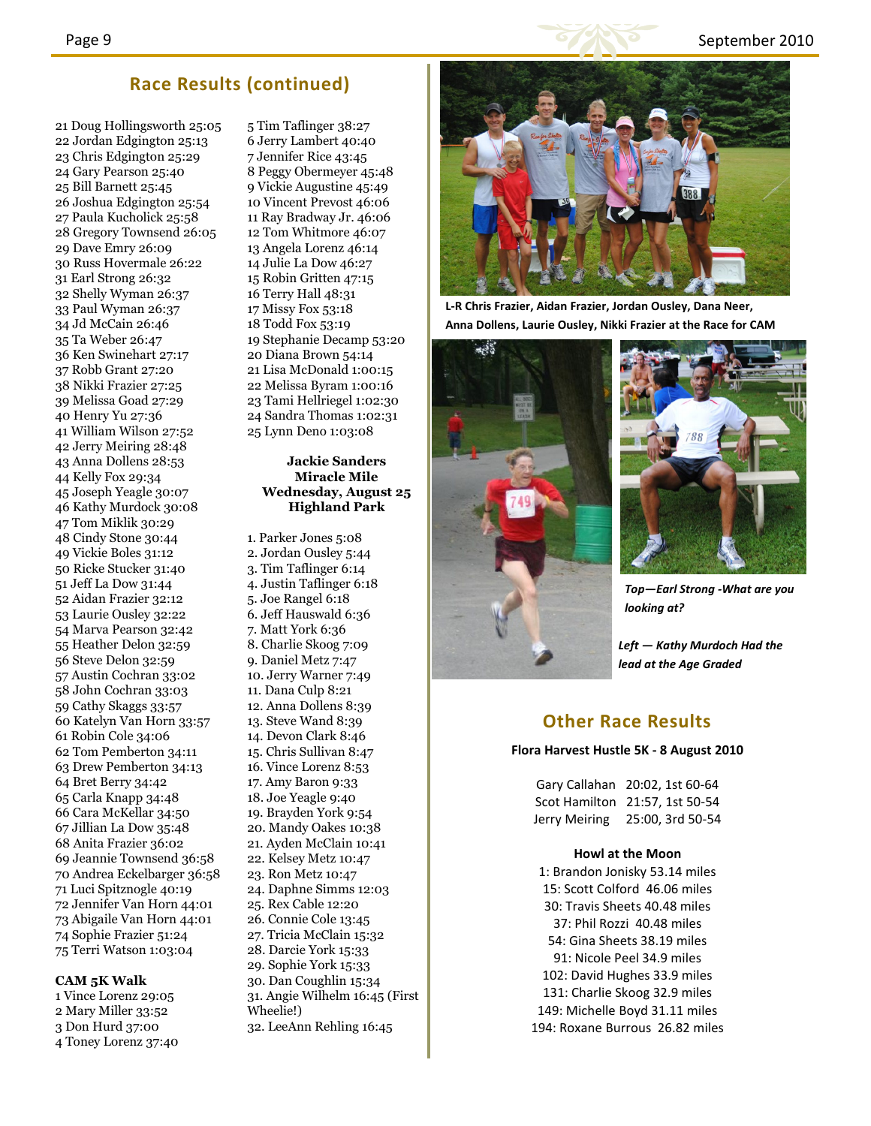

### Race Results (continued)

21 Doug Hollingsworth 25:05 22 Jordan Edgington 25:13 23 Chris Edgington 25:29 24 Gary Pearson 25:40 25 Bill Barnett 25:45 26 Joshua Edgington 25:54 27 Paula Kucholick 25:58 28 Gregory Townsend 26:05 29 Dave Emry 26:09 30 Russ Hovermale 26:22 31 Earl Strong 26:32 32 Shelly Wyman 26:37 33 Paul Wyman 26:37 34 Jd McCain 26:46 35 Ta Weber 26:47 36 Ken Swinehart 27:17 37 Robb Grant 27:20 38 Nikki Frazier 27:25 39 Melissa Goad 27:29 40 Henry Yu 27:36 41 William Wilson 27:52 42 Jerry Meiring 28:48 43 Anna Dollens 28:53 44 Kelly Fox 29:34 45 Joseph Yeagle 30:07 46 Kathy Murdock 30:08 47 Tom Miklik 30:29 48 Cindy Stone 30:44 49 Vickie Boles 31:12 50 Ricke Stucker 31:40 51 Jeff La Dow 31:44 52 Aidan Frazier 32:12 53 Laurie Ousley 32:22 54 Marva Pearson 32:42 55 Heather Delon 32:59 56 Steve Delon 32:59 57 Austin Cochran 33:02 58 John Cochran 33:03 59 Cathy Skaggs 33:57 60 Katelyn Van Horn 33:57 61 Robin Cole 34:06 62 Tom Pemberton 34:11 63 Drew Pemberton 34:13 64 Bret Berry 34:42 65 Carla Knapp 34:48 66 Cara McKellar 34:50 67 Jillian La Dow 35:48 68 Anita Frazier 36:02 69 Jeannie Townsend 36:58 70 Andrea Eckelbarger 36:58 71 Luci Spitznogle 40:19 72 Jennifer Van Horn 44:01 73 Abigaile Van Horn 44:01 74 Sophie Frazier 51:24 75 Terri Watson 1:03:04

### CAM 5K Walk

1 Vince Lorenz 29:05 2 Mary Miller 33:52 3 Don Hurd 37:00 4 Toney Lorenz 37:40 5 Tim Taflinger 38:27 6 Jerry Lambert 40:40 7 Jennifer Rice 43:45 8 Peggy Obermeyer 45:48 9 Vickie Augustine 45:49 10 Vincent Prevost 46:06 11 Ray Bradway Jr. 46:06 12 Tom Whitmore 46:07 13 Angela Lorenz 46:14 14 Julie La Dow 46:27 15 Robin Gritten 47:15 16 Terry Hall 48:31 17 Missy Fox 53:18 18 Todd Fox 53:19 19 Stephanie Decamp 53:20 20 Diana Brown 54:14 21 Lisa McDonald 1:00:15 22 Melissa Byram 1:00:16 23 Tami Hellriegel 1:02:30 24 Sandra Thomas 1:02:31 25 Lynn Deno 1:03:08

#### Jackie Sanders Miracle Mile Wednesday, August 25 Highland Park

1. Parker Jones 5:08 2. Jordan Ousley 5:44 3. Tim Taflinger 6:14 4. Justin Taflinger 6:18 5. Joe Rangel 6:18 6. Jeff Hauswald 6:36 7. Matt York 6:36 8. Charlie Skoog 7:09 9. Daniel Metz 7:47 10. Jerry Warner 7:49 11. Dana Culp 8:21 12. Anna Dollens 8:39 13. Steve Wand 8:39 14. Devon Clark 8:46 15. Chris Sullivan 8:47 16. Vince Lorenz 8:53 17. Amy Baron 9:33 18. Joe Yeagle 9:40 19. Brayden York 9:54 20. Mandy Oakes 10:38 21. Ayden McClain 10:41 22. Kelsey Metz 10:47 23. Ron Metz 10:47 24. Daphne Simms 12:03 25. Rex Cable 12:20 26. Connie Cole 13:45 27. Tricia McClain 15:32 28. Darcie York 15:33 29. Sophie York 15:33 30. Dan Coughlin 15:34 31. Angie Wilhelm 16:45 (First Wheelie!) 32. LeeAnn Rehling 16:45



L-R Chris Frazier, Aidan Frazier, Jordan Ousley, Dana Neer, Anna Dollens, Laurie Ousley, Nikki Frazier at the Race for CAM





Top—Earl Strong -What are you looking at?

Left — Kathy Murdoch Had the lead at the Age Graded

### Other Race Results

### Flora Harvest Hustle 5K - 8 August 2010

Gary Callahan 20:02, 1st 60-64 Scot Hamilton 21:57, 1st 50-54 Jerry Meiring 25:00, 3rd 50-54

#### Howl at the Moon

1: Brandon Jonisky 53.14 miles 15: Scott Colford 46.06 miles 30: Travis Sheets 40.48 miles 37: Phil Rozzi 40.48 miles 54: Gina Sheets 38.19 miles 91: Nicole Peel 34.9 miles 102: David Hughes 33.9 miles 131: Charlie Skoog 32.9 miles 149: Michelle Boyd 31.11 miles 194: Roxane Burrous 26.82 miles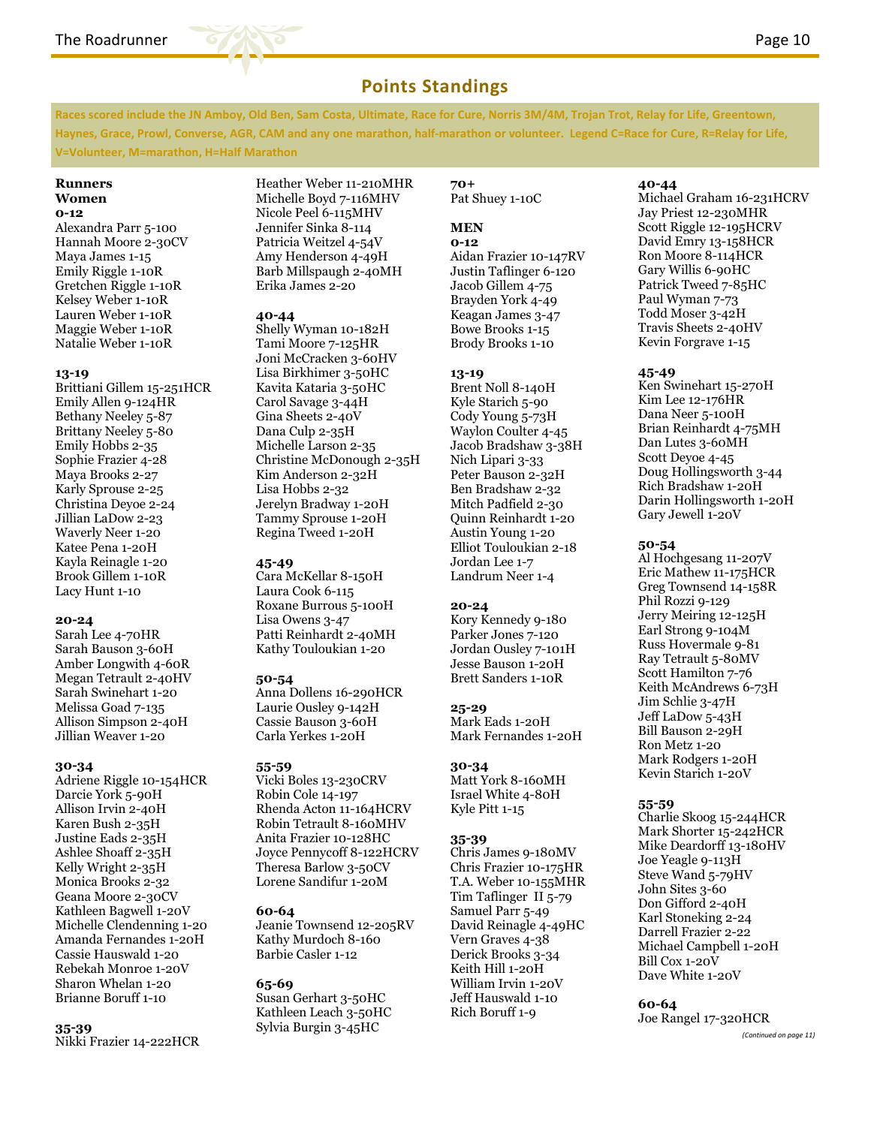

### Points Standings

Races scored include the JN Amboy, Old Ben, Sam Costa, Ultimate, Race for Cure, Norris 3M/4M, Trojan Trot, Relay for Life, Greentown, Haynes, Grace, Prowl, Converse, AGR, CAM and any one marathon, half-marathon or volunteer. Legend C=Race for Cure, R=Relay for Life, V=Volunteer, M=marathon, H=Half Marathon

#### Runners Women 0-12

Alexandra Parr 5-100 Hannah Moore 2-30CV Maya James 1-15 Emily Riggle 1-10R Gretchen Riggle 1-10R Kelsey Weber 1-10R Lauren Weber 1-10R Maggie Weber 1-10R Natalie Weber 1-10R

### 13-19

Brittiani Gillem 15-251HCR Emily Allen 9-124HR Bethany Neeley 5-87 Brittany Neeley 5-80 Emily Hobbs 2-35 Sophie Frazier 4-28 Maya Brooks 2-27 Karly Sprouse 2-25 Christina Deyoe 2-24 Jillian LaDow 2-23 Waverly Neer 1-20 Katee Pena 1-20H Kayla Reinagle 1-20 Brook Gillem 1-10R Lacy Hunt 1-10

### 20-24

Sarah Lee 4-70HR Sarah Bauson 3-60H Amber Longwith 4-60R Megan Tetrault 2-40HV Sarah Swinehart 1-20 Melissa Goad 7-135 Allison Simpson 2-40H Jillian Weaver 1-20

#### 30-34

Adriene Riggle 10-154HCR Darcie York 5-90H Allison Irvin 2-40H Karen Bush 2-35H Justine Eads 2-35H Ashlee Shoaff 2-35H Kelly Wright 2-35H Monica Brooks 2-32 Geana Moore 2-30CV Kathleen Bagwell 1-20V Michelle Clendenning 1-20 Amanda Fernandes 1-20H Cassie Hauswald 1-20 Rebekah Monroe 1-20V Sharon Whelan 1-20 Brianne Boruff 1-10

### 35-39

Nikki Frazier 14-222HCR

Heather Weber 11-210MHR Michelle Boyd 7-116MHV Nicole Peel 6-115MHV Jennifer Sinka 8-114 Patricia Weitzel 4-54V Amy Henderson 4-49H Barb Millspaugh 2-40MH Erika James 2-20

### 40-44

Shelly Wyman 10-182H Tami Moore 7-125HR Joni McCracken 3-60HV Lisa Birkhimer 3-50HC Kavita Kataria 3-50HC Carol Savage 3-44H Gina Sheets 2-40V Dana Culp 2-35H Michelle Larson 2-35 Christine McDonough 2-35H Kim Anderson 2-32H Lisa Hobbs 2-32 Jerelyn Bradway 1-20H Tammy Sprouse 1-20H Regina Tweed 1-20H

### 45-49

Cara McKellar 8-150H Laura Cook 6-115 Roxane Burrous 5-100H Lisa Owens 3-47 Patti Reinhardt 2-40MH Kathy Touloukian 1-20

### 50-54

Anna Dollens 16-290HCR Laurie Ousley 9-142H Cassie Bauson 3-60H Carla Yerkes 1-20H

### 55-59

Vicki Boles 13-230CRV Robin Cole 14-197 Rhenda Acton 11-164HCRV Robin Tetrault 8-160MHV Anita Frazier 10-128HC Joyce Pennycoff 8-122HCRV Theresa Barlow 3-50CV Lorene Sandifur 1-20M

### 60-64

Jeanie Townsend 12-205RV Kathy Murdoch 8-160 Barbie Casler 1-12

### 65-69

Susan Gerhart 3-50HC Kathleen Leach 3-50HC Sylvia Burgin 3-45HC

70+ Pat Shuey 1-10C

### MEN

0-12 Aidan Frazier 10-147RV Justin Taflinger 6-120 Jacob Gillem 4-75 Brayden York 4-49 Keagan James 3-47 Bowe Brooks 1-15 Brody Brooks 1-10

### 13-19

Brent Noll 8-140H Kyle Starich 5-90 Cody Young 5-73H Waylon Coulter 4-45 Jacob Bradshaw 3-38H Nich Lipari 3-33 Peter Bauson 2-32H Ben Bradshaw 2-32 Mitch Padfield 2-30 Quinn Reinhardt 1-20 Austin Young 1-20 Elliot Touloukian 2-18 Jordan Lee 1-7 Landrum Neer 1-4

### 20-24

Kory Kennedy 9-180 Parker Jones 7-120 Jordan Ousley 7-101H Jesse Bauson 1-20H Brett Sanders 1-10R

### 25-29

Mark Eads 1-20H Mark Fernandes 1-20H

### 30-34

Matt York 8-160MH Israel White 4-80H Kyle Pitt 1-15

### 35-39

Chris James 9-180MV Chris Frazier 10-175HR T.A. Weber 10-155MHR Tim Taflinger II 5-79 Samuel Parr 5-49 David Reinagle 4-49HC Vern Graves 4-38 Derick Brooks 3-34 Keith Hill 1-20H William Irvin 1-20V Jeff Hauswald 1-10 Rich Boruff 1-9

### 40-44

Michael Graham 16-231HCRV Jay Priest 12-230MHR Scott Riggle 12-195HCRV David Emry 13-158HCR Ron Moore 8-114HCR Gary Willis 6-90HC Patrick Tweed 7-85HC Paul Wyman 7-73 Todd Moser 3-42H Travis Sheets 2-40HV Kevin Forgrave 1-15

### 45-49

Ken Swinehart 15-270H Kim Lee 12-176HR Dana Neer 5-100H Brian Reinhardt 4-75MH Dan Lutes 3-60MH Scott Deyoe 4-45 Doug Hollingsworth 3-44 Rich Bradshaw 1-20H Darin Hollingsworth 1-20H Gary Jewell 1-20V

### 50-54

Al Hochgesang 11-207V Eric Mathew 11-175HCR Greg Townsend 14-158R Phil Rozzi 9-129 Jerry Meiring 12-125H Earl Strong 9-104M Russ Hovermale 9-81 Ray Tetrault 5-80MV Scott Hamilton 7-76 Keith McAndrews 6-73H Jim Schlie 3-47H Jeff LaDow 5-43H Bill Bauson 2-29H Ron Metz 1-20 Mark Rodgers 1-20H Kevin Starich 1-20V

### 55-59

Charlie Skoog 15-244HCR Mark Shorter 15-242HCR Mike Deardorff 13-180HV Joe Yeagle 9-113H Steve Wand 5-79HV John Sites 3-60 Don Gifford 2-40H Karl Stoneking 2-24 Darrell Frazier 2-22 Michael Campbell 1-20H Bill Cox 1-20V Dave White 1-20V

### 60-64

Joe Rangel 17-320HCR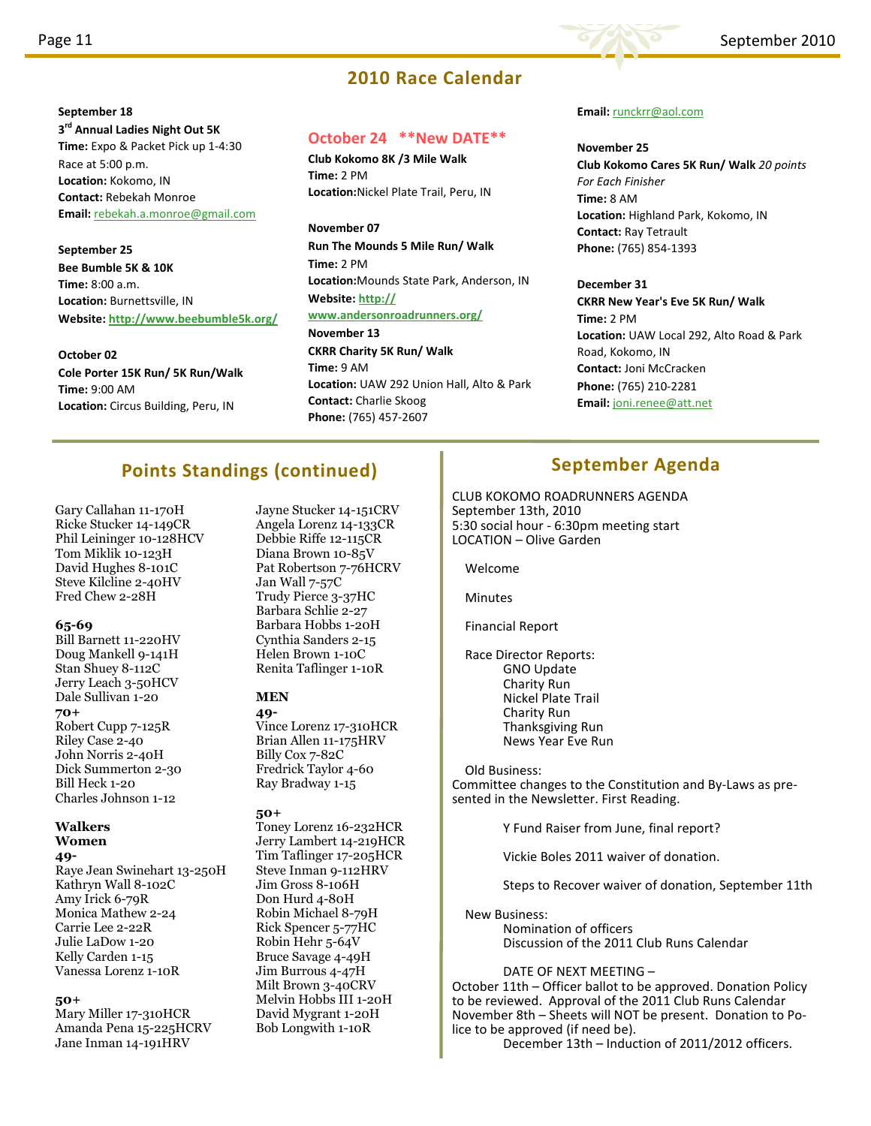September 18

Race at 5:00 p.m. Location: Kokomo, IN Contact: Rebekah Monroe

September 25 Bee Bumble 5K & 10K Time: 8:00 a.m.

October 02

Time: 9:00 AM

Location: Burnettsville, IN

3<sup>rd</sup> Annual Ladies Night Out 5K Time: Expo & Packet Pick up 1-4:30

Email: rebekah.a.monroe@gmail.com

Website: http://www.beebumble5k.org/

Cole Porter 15K Run/ 5K Run/Walk

Location: Circus Building, Peru, IN



### 2010 Race Calendar

### October 24 \*\*New DATE\*\*

Club Kokomo 8K /3 Mile Walk Time: 2 PM Location:Nickel Plate Trail, Peru, IN

November 07 Run The Mounds 5 Mile Run/ Walk Time: 2 PM Location:Mounds State Park, Anderson, IN Website: http:// www.andersonroadrunners.org/ November 13 CKRR Charity 5K Run/ Walk

Time: 9 AM Location: UAW 292 Union Hall, Alto & Park Contact: Charlie Skoog Phone: (765) 457-2607

#### Email: runckrr@aol.com

#### November 25

Club Kokomo Cares 5K Run/ Walk 20 points For Each Finisher Time: 8 AM Location: Highland Park, Kokomo, IN Contact: Ray Tetrault Phone: (765) 854-1393

### December 31

CKRR New Year's Eve 5K Run/ Walk Time: 2 PM Location: UAW Local 292, Alto Road & Park Road, Kokomo, IN Contact: Joni McCracken Phone: (765) 210-2281 Email: joni.renee@att.net

# Points Standings (continued)

Gary Callahan 11-170H Ricke Stucker 14-149CR Phil Leininger 10-128HCV Tom Miklik 10-123H David Hughes 8-101C Steve Kilcline 2-40HV Fred Chew 2-28H

#### 65-69

Bill Barnett 11-220HV Doug Mankell 9-141H Stan Shuey 8-112C Jerry Leach 3-50HCV Dale Sullivan 1-20 70+ Robert Cupp 7-125R Riley Case 2-40 John Norris 2-40H Dick Summerton 2-30 Bill Heck 1-20 Charles Johnson 1-12

#### Walkers Women

49-

Raye Jean Swinehart 13-250H Kathryn Wall 8-102C Amy Irick 6-79R Monica Mathew 2-24 Carrie Lee 2-22R Julie LaDow 1-20 Kelly Carden 1-15 Vanessa Lorenz 1-10R

### 50+

Mary Miller 17-310HCR Amanda Pena 15-225HCRV Jane Inman 14-191HRV

Jayne Stucker 14-151CRV Angela Lorenz 14-133CR Debbie Riffe 12-115CR Diana Brown 10-85V Pat Robertson 7-76HCRV Jan Wall 7-57C Trudy Pierce 3-37HC Barbara Schlie 2-27 Barbara Hobbs 1-20H Cynthia Sanders 2-15 Helen Brown 1-10C Renita Taflinger 1-10R

### MEN

49- Vince Lorenz 17-310HCR Brian Allen 11-175HRV Billy Cox 7-82C Fredrick Taylor 4-60 Ray Bradway 1-15

### 50+

Toney Lorenz 16-232HCR Jerry Lambert 14-219HCR Tim Taflinger 17-205HCR Steve Inman 9-112HRV Jim Gross 8-106H Don Hurd 4-80H Robin Michael 8-79H Rick Spencer 5-77HC Robin Hehr 5-64V Bruce Savage 4-49H Jim Burrous 4-47H Milt Brown 3-40CRV Melvin Hobbs III 1-20H David Mygrant 1-20H Bob Longwith 1-10R

# September Agenda

CLUB KOKOMO ROADRUNNERS AGENDA September 13th, 2010 5:30 social hour - 6:30pm meeting start LOCATION – Olive Garden

Welcome

Minutes

Financial Report

 Race Director Reports: GNO Update Charity Run Nickel Plate Trail Charity Run Thanksgiving Run News Year Eve Run

#### Old Business:

Committee changes to the Constitution and By-Laws as presented in the Newsletter. First Reading.

Y Fund Raiser from June, final report?

Vickie Boles 2011 waiver of donation.

Steps to Recover waiver of donation, September 11th

New Business:

 Nomination of officers Discussion of the 2011 Club Runs Calendar

### DATE OF NEXT MEETING –

October 11th – Officer ballot to be approved. Donation Policy to be reviewed. Approval of the 2011 Club Runs Calendar November 8th – Sheets will NOT be present. Donation to Police to be approved (if need be).

December 13th – Induction of 2011/2012 officers.